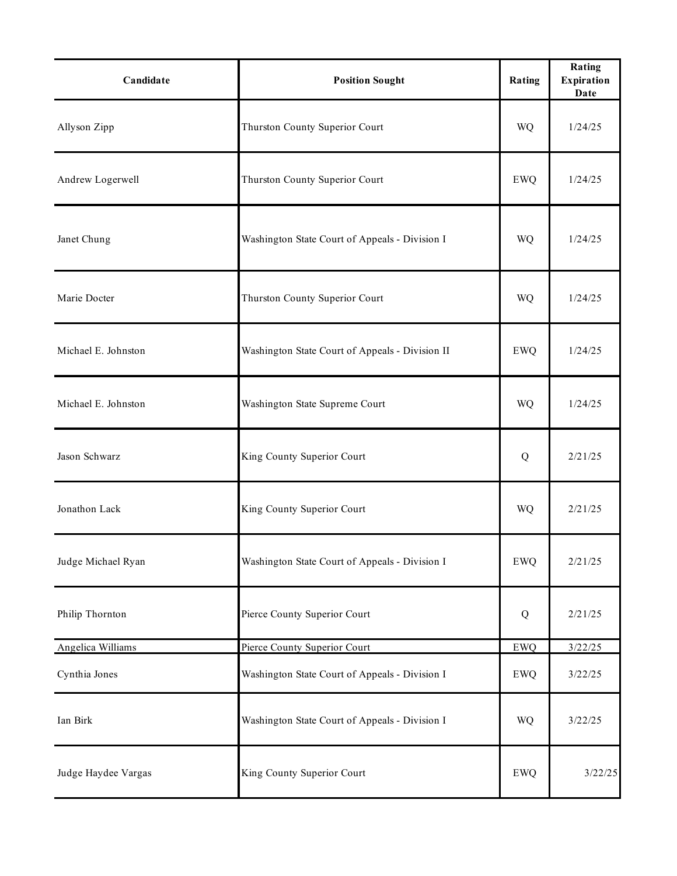| Candidate           | <b>Position Sought</b>                          | Rating     | Rating<br><b>Expiration</b><br>Date |
|---------------------|-------------------------------------------------|------------|-------------------------------------|
| Allyson Zipp        | Thurston County Superior Court                  | WQ         | 1/24/25                             |
| Andrew Logerwell    | Thurston County Superior Court                  | <b>EWQ</b> | 1/24/25                             |
| Janet Chung         | Washington State Court of Appeals - Division I  | WQ         | 1/24/25                             |
| Marie Docter        | Thurston County Superior Court                  | WQ         | 1/24/25                             |
| Michael E. Johnston | Washington State Court of Appeals - Division II | <b>EWQ</b> | 1/24/25                             |
| Michael E. Johnston | Washington State Supreme Court                  | WQ         | 1/24/25                             |
| Jason Schwarz       | King County Superior Court                      | Q          | 2/21/25                             |
| Jonathon Lack       | King County Superior Court                      | <b>WQ</b>  | 2/21/25                             |
| Judge Michael Ryan  | Washington State Court of Appeals - Division I  | <b>EWQ</b> | 2/21/25                             |
| Philip Thornton     | Pierce County Superior Court                    | Q          | 2/21/25                             |
| Angelica Williams   | Pierce County Superior Court                    | <b>EWQ</b> | 3/22/25                             |
| Cynthia Jones       | Washington State Court of Appeals - Division I  | <b>EWQ</b> | 3/22/25                             |
| Ian Birk            | Washington State Court of Appeals - Division I  | WQ         | 3/22/25                             |
| Judge Haydee Vargas | King County Superior Court                      | <b>EWQ</b> | 3/22/25                             |